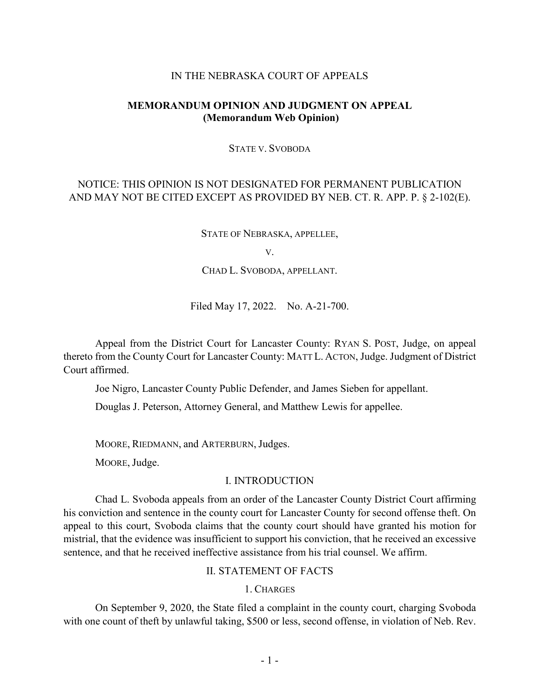### IN THE NEBRASKA COURT OF APPEALS

## **MEMORANDUM OPINION AND JUDGMENT ON APPEAL (Memorandum Web Opinion)**

#### STATE V. SVOBODA

# NOTICE: THIS OPINION IS NOT DESIGNATED FOR PERMANENT PUBLICATION AND MAY NOT BE CITED EXCEPT AS PROVIDED BY NEB. CT. R. APP. P. § 2-102(E).

STATE OF NEBRASKA, APPELLEE,

V.

CHAD L. SVOBODA, APPELLANT.

Filed May 17, 2022. No. A-21-700.

Appeal from the District Court for Lancaster County: RYAN S. POST, Judge, on appeal thereto from the County Court for Lancaster County: MATT L. ACTON, Judge. Judgment of District Court affirmed.

Joe Nigro, Lancaster County Public Defender, and James Sieben for appellant.

Douglas J. Peterson, Attorney General, and Matthew Lewis for appellee.

MOORE, RIEDMANN, and ARTERBURN, Judges.

MOORE, Judge.

### I. INTRODUCTION

Chad L. Svoboda appeals from an order of the Lancaster County District Court affirming his conviction and sentence in the county court for Lancaster County for second offense theft. On appeal to this court, Svoboda claims that the county court should have granted his motion for mistrial, that the evidence was insufficient to support his conviction, that he received an excessive sentence, and that he received ineffective assistance from his trial counsel. We affirm.

### II. STATEMENT OF FACTS

#### 1. CHARGES

On September 9, 2020, the State filed a complaint in the county court, charging Svoboda with one count of theft by unlawful taking, \$500 or less, second offense, in violation of Neb. Rev.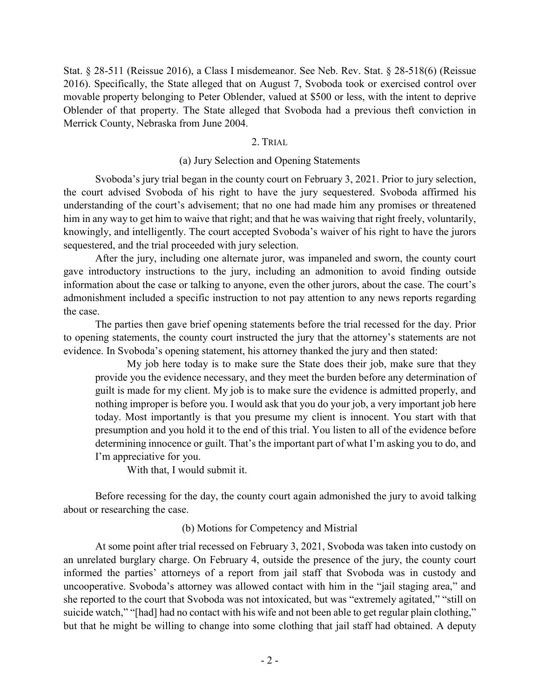Stat. § 28-511 (Reissue 2016), a Class I misdemeanor. See Neb. Rev. Stat. § 28-518(6) (Reissue 2016). Specifically, the State alleged that on August 7, Svoboda took or exercised control over movable property belonging to Peter Oblender, valued at \$500 or less, with the intent to deprive Oblender of that property. The State alleged that Svoboda had a previous theft conviction in Merrick County, Nebraska from June 2004.

### 2. TRIAL

### (a) Jury Selection and Opening Statements

Svoboda's jury trial began in the county court on February 3, 2021. Prior to jury selection, the court advised Svoboda of his right to have the jury sequestered. Svoboda affirmed his understanding of the court's advisement; that no one had made him any promises or threatened him in any way to get him to waive that right; and that he was waiving that right freely, voluntarily, knowingly, and intelligently. The court accepted Svoboda's waiver of his right to have the jurors sequestered, and the trial proceeded with jury selection.

After the jury, including one alternate juror, was impaneled and sworn, the county court gave introductory instructions to the jury, including an admonition to avoid finding outside information about the case or talking to anyone, even the other jurors, about the case. The court's admonishment included a specific instruction to not pay attention to any news reports regarding the case.

The parties then gave brief opening statements before the trial recessed for the day. Prior to opening statements, the county court instructed the jury that the attorney's statements are not evidence. In Svoboda's opening statement, his attorney thanked the jury and then stated:

My job here today is to make sure the State does their job, make sure that they provide you the evidence necessary, and they meet the burden before any determination of guilt is made for my client. My job is to make sure the evidence is admitted properly, and nothing improper is before you. I would ask that you do your job, a very important job here today. Most importantly is that you presume my client is innocent. You start with that presumption and you hold it to the end of this trial. You listen to all of the evidence before determining innocence or guilt. That's the important part of what I'm asking you to do, and I'm appreciative for you.

With that, I would submit it.

Before recessing for the day, the county court again admonished the jury to avoid talking about or researching the case.

## (b) Motions for Competency and Mistrial

At some point after trial recessed on February 3, 2021, Svoboda was taken into custody on an unrelated burglary charge. On February 4, outside the presence of the jury, the county court informed the parties' attorneys of a report from jail staff that Svoboda was in custody and uncooperative. Svoboda's attorney was allowed contact with him in the "jail staging area," and she reported to the court that Svoboda was not intoxicated, but was "extremely agitated," "still on suicide watch," "[had] had no contact with his wife and not been able to get regular plain clothing," but that he might be willing to change into some clothing that jail staff had obtained. A deputy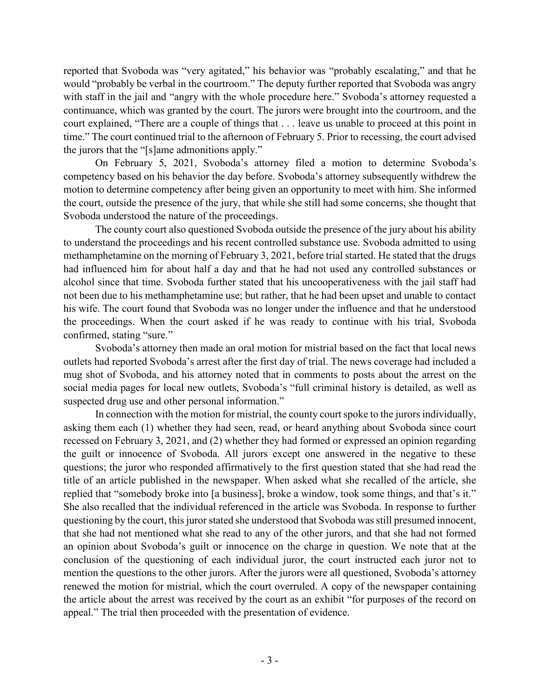reported that Svoboda was "very agitated," his behavior was "probably escalating," and that he would "probably be verbal in the courtroom." The deputy further reported that Svoboda was angry with staff in the jail and "angry with the whole procedure here." Svoboda's attorney requested a continuance, which was granted by the court. The jurors were brought into the courtroom, and the court explained, "There are a couple of things that . . . leave us unable to proceed at this point in time." The court continued trial to the afternoon of February 5. Prior to recessing, the court advised the jurors that the "[s]ame admonitions apply."

On February 5, 2021, Svoboda's attorney filed a motion to determine Svoboda's competency based on his behavior the day before. Svoboda's attorney subsequently withdrew the motion to determine competency after being given an opportunity to meet with him. She informed the court, outside the presence of the jury, that while she still had some concerns, she thought that Svoboda understood the nature of the proceedings.

The county court also questioned Svoboda outside the presence of the jury about his ability to understand the proceedings and his recent controlled substance use. Svoboda admitted to using methamphetamine on the morning of February 3, 2021, before trial started. He stated that the drugs had influenced him for about half a day and that he had not used any controlled substances or alcohol since that time. Svoboda further stated that his uncooperativeness with the jail staff had not been due to his methamphetamine use; but rather, that he had been upset and unable to contact his wife. The court found that Svoboda was no longer under the influence and that he understood the proceedings. When the court asked if he was ready to continue with his trial, Svoboda confirmed, stating "sure."

Svoboda's attorney then made an oral motion for mistrial based on the fact that local news outlets had reported Svoboda's arrest after the first day of trial. The news coverage had included a mug shot of Svoboda, and his attorney noted that in comments to posts about the arrest on the social media pages for local new outlets, Svoboda's "full criminal history is detailed, as well as suspected drug use and other personal information."

In connection with the motion for mistrial, the county court spoke to the jurors individually, asking them each (1) whether they had seen, read, or heard anything about Svoboda since court recessed on February 3, 2021, and (2) whether they had formed or expressed an opinion regarding the guilt or innocence of Svoboda. All jurors except one answered in the negative to these questions; the juror who responded affirmatively to the first question stated that she had read the title of an article published in the newspaper. When asked what she recalled of the article, she replied that "somebody broke into [a business], broke a window, took some things, and that's it." She also recalled that the individual referenced in the article was Svoboda. In response to further questioning by the court, this juror stated she understood that Svoboda was still presumed innocent, that she had not mentioned what she read to any of the other jurors, and that she had not formed an opinion about Svoboda's guilt or innocence on the charge in question. We note that at the conclusion of the questioning of each individual juror, the court instructed each juror not to mention the questions to the other jurors. After the jurors were all questioned, Svoboda's attorney renewed the motion for mistrial, which the court overruled. A copy of the newspaper containing the article about the arrest was received by the court as an exhibit "for purposes of the record on appeal." The trial then proceeded with the presentation of evidence.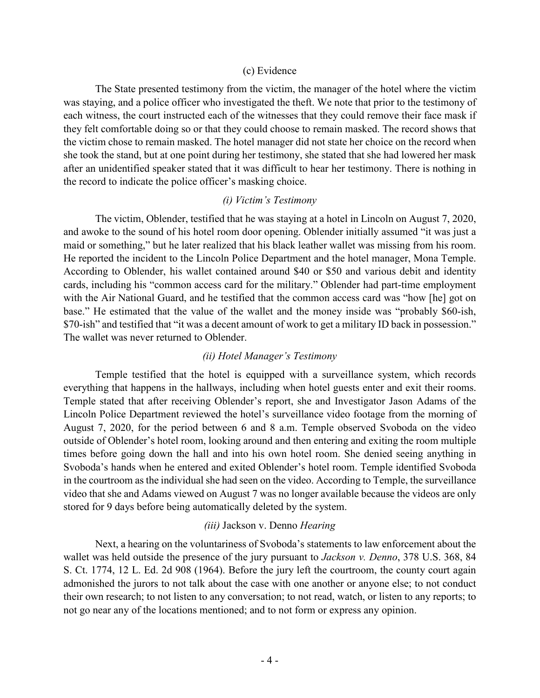### (c) Evidence

The State presented testimony from the victim, the manager of the hotel where the victim was staying, and a police officer who investigated the theft. We note that prior to the testimony of each witness, the court instructed each of the witnesses that they could remove their face mask if they felt comfortable doing so or that they could choose to remain masked. The record shows that the victim chose to remain masked. The hotel manager did not state her choice on the record when she took the stand, but at one point during her testimony, she stated that she had lowered her mask after an unidentified speaker stated that it was difficult to hear her testimony. There is nothing in the record to indicate the police officer's masking choice.

## *(i) Victim's Testimony*

The victim, Oblender, testified that he was staying at a hotel in Lincoln on August 7, 2020, and awoke to the sound of his hotel room door opening. Oblender initially assumed "it was just a maid or something," but he later realized that his black leather wallet was missing from his room. He reported the incident to the Lincoln Police Department and the hotel manager, Mona Temple. According to Oblender, his wallet contained around \$40 or \$50 and various debit and identity cards, including his "common access card for the military." Oblender had part-time employment with the Air National Guard, and he testified that the common access card was "how [he] got on base." He estimated that the value of the wallet and the money inside was "probably \$60-ish, \$70-ish" and testified that "it was a decent amount of work to get a military ID back in possession." The wallet was never returned to Oblender.

## *(ii) Hotel Manager's Testimony*

Temple testified that the hotel is equipped with a surveillance system, which records everything that happens in the hallways, including when hotel guests enter and exit their rooms. Temple stated that after receiving Oblender's report, she and Investigator Jason Adams of the Lincoln Police Department reviewed the hotel's surveillance video footage from the morning of August 7, 2020, for the period between 6 and 8 a.m. Temple observed Svoboda on the video outside of Oblender's hotel room, looking around and then entering and exiting the room multiple times before going down the hall and into his own hotel room. She denied seeing anything in Svoboda's hands when he entered and exited Oblender's hotel room. Temple identified Svoboda in the courtroom as the individual she had seen on the video. According to Temple, the surveillance video that she and Adams viewed on August 7 was no longer available because the videos are only stored for 9 days before being automatically deleted by the system.

## *(iii)* Jackson v. Denno *Hearing*

Next, a hearing on the voluntariness of Svoboda's statements to law enforcement about the wallet was held outside the presence of the jury pursuant to *Jackson v. Denno*, 378 U.S. 368, 84 S. Ct. 1774, 12 L. Ed. 2d 908 (1964). Before the jury left the courtroom, the county court again admonished the jurors to not talk about the case with one another or anyone else; to not conduct their own research; to not listen to any conversation; to not read, watch, or listen to any reports; to not go near any of the locations mentioned; and to not form or express any opinion.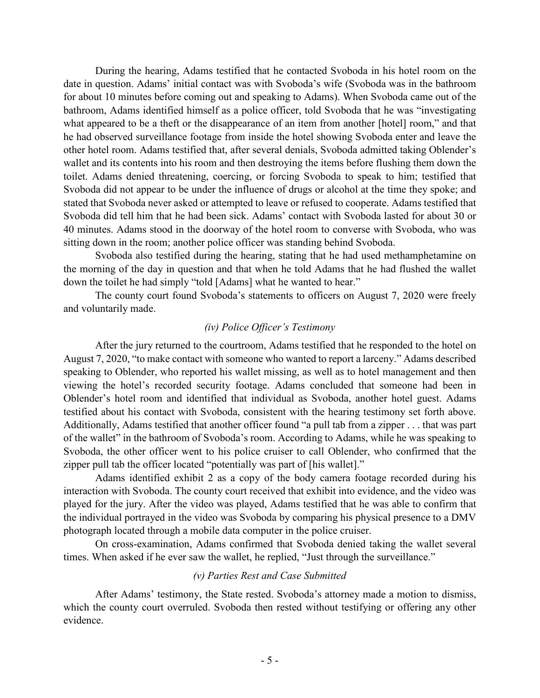During the hearing, Adams testified that he contacted Svoboda in his hotel room on the date in question. Adams' initial contact was with Svoboda's wife (Svoboda was in the bathroom for about 10 minutes before coming out and speaking to Adams). When Svoboda came out of the bathroom, Adams identified himself as a police officer, told Svoboda that he was "investigating what appeared to be a theft or the disappearance of an item from another [hotel] room," and that he had observed surveillance footage from inside the hotel showing Svoboda enter and leave the other hotel room. Adams testified that, after several denials, Svoboda admitted taking Oblender's wallet and its contents into his room and then destroying the items before flushing them down the toilet. Adams denied threatening, coercing, or forcing Svoboda to speak to him; testified that Svoboda did not appear to be under the influence of drugs or alcohol at the time they spoke; and stated that Svoboda never asked or attempted to leave or refused to cooperate. Adams testified that Svoboda did tell him that he had been sick. Adams' contact with Svoboda lasted for about 30 or 40 minutes. Adams stood in the doorway of the hotel room to converse with Svoboda, who was sitting down in the room; another police officer was standing behind Svoboda.

Svoboda also testified during the hearing, stating that he had used methamphetamine on the morning of the day in question and that when he told Adams that he had flushed the wallet down the toilet he had simply "told [Adams] what he wanted to hear."

The county court found Svoboda's statements to officers on August 7, 2020 were freely and voluntarily made.

### *(iv) Police Officer's Testimony*

After the jury returned to the courtroom, Adams testified that he responded to the hotel on August 7, 2020, "to make contact with someone who wanted to report a larceny." Adams described speaking to Oblender, who reported his wallet missing, as well as to hotel management and then viewing the hotel's recorded security footage. Adams concluded that someone had been in Oblender's hotel room and identified that individual as Svoboda, another hotel guest. Adams testified about his contact with Svoboda, consistent with the hearing testimony set forth above. Additionally, Adams testified that another officer found "a pull tab from a zipper . . . that was part of the wallet" in the bathroom of Svoboda's room. According to Adams, while he was speaking to Svoboda, the other officer went to his police cruiser to call Oblender, who confirmed that the zipper pull tab the officer located "potentially was part of [his wallet]."

Adams identified exhibit 2 as a copy of the body camera footage recorded during his interaction with Svoboda. The county court received that exhibit into evidence, and the video was played for the jury. After the video was played, Adams testified that he was able to confirm that the individual portrayed in the video was Svoboda by comparing his physical presence to a DMV photograph located through a mobile data computer in the police cruiser.

On cross-examination, Adams confirmed that Svoboda denied taking the wallet several times. When asked if he ever saw the wallet, he replied, "Just through the surveillance."

## *(v) Parties Rest and Case Submitted*

After Adams' testimony, the State rested. Svoboda's attorney made a motion to dismiss, which the county court overruled. Svoboda then rested without testifying or offering any other evidence.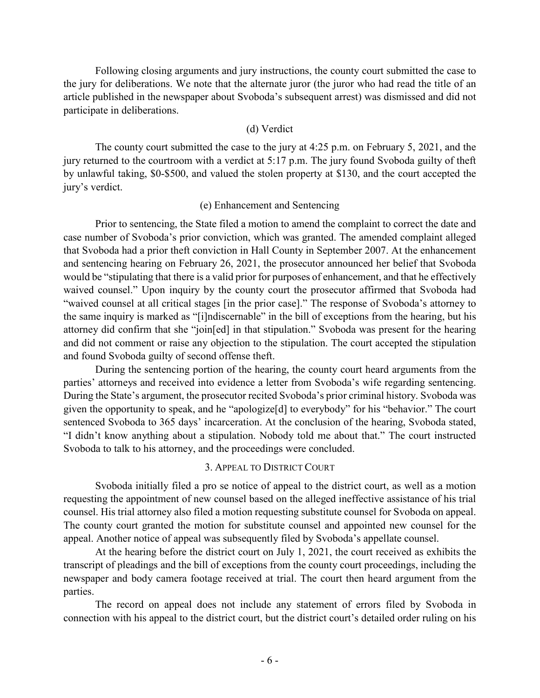Following closing arguments and jury instructions, the county court submitted the case to the jury for deliberations. We note that the alternate juror (the juror who had read the title of an article published in the newspaper about Svoboda's subsequent arrest) was dismissed and did not participate in deliberations.

### (d) Verdict

The county court submitted the case to the jury at 4:25 p.m. on February 5, 2021, and the jury returned to the courtroom with a verdict at 5:17 p.m. The jury found Svoboda guilty of theft by unlawful taking, \$0-\$500, and valued the stolen property at \$130, and the court accepted the jury's verdict.

### (e) Enhancement and Sentencing

Prior to sentencing, the State filed a motion to amend the complaint to correct the date and case number of Svoboda's prior conviction, which was granted. The amended complaint alleged that Svoboda had a prior theft conviction in Hall County in September 2007. At the enhancement and sentencing hearing on February 26, 2021, the prosecutor announced her belief that Svoboda would be "stipulating that there is a valid prior for purposes of enhancement, and that he effectively waived counsel." Upon inquiry by the county court the prosecutor affirmed that Svoboda had "waived counsel at all critical stages [in the prior case]." The response of Svoboda's attorney to the same inquiry is marked as "[i]ndiscernable" in the bill of exceptions from the hearing, but his attorney did confirm that she "join[ed] in that stipulation." Svoboda was present for the hearing and did not comment or raise any objection to the stipulation. The court accepted the stipulation and found Svoboda guilty of second offense theft.

During the sentencing portion of the hearing, the county court heard arguments from the parties' attorneys and received into evidence a letter from Svoboda's wife regarding sentencing. During the State's argument, the prosecutor recited Svoboda's prior criminal history. Svoboda was given the opportunity to speak, and he "apologize[d] to everybody" for his "behavior." The court sentenced Svoboda to 365 days' incarceration. At the conclusion of the hearing, Svoboda stated, "I didn't know anything about a stipulation. Nobody told me about that." The court instructed Svoboda to talk to his attorney, and the proceedings were concluded.

### 3. APPEAL TO DISTRICT COURT

Svoboda initially filed a pro se notice of appeal to the district court, as well as a motion requesting the appointment of new counsel based on the alleged ineffective assistance of his trial counsel. His trial attorney also filed a motion requesting substitute counsel for Svoboda on appeal. The county court granted the motion for substitute counsel and appointed new counsel for the appeal. Another notice of appeal was subsequently filed by Svoboda's appellate counsel.

At the hearing before the district court on July 1, 2021, the court received as exhibits the transcript of pleadings and the bill of exceptions from the county court proceedings, including the newspaper and body camera footage received at trial. The court then heard argument from the parties.

The record on appeal does not include any statement of errors filed by Svoboda in connection with his appeal to the district court, but the district court's detailed order ruling on his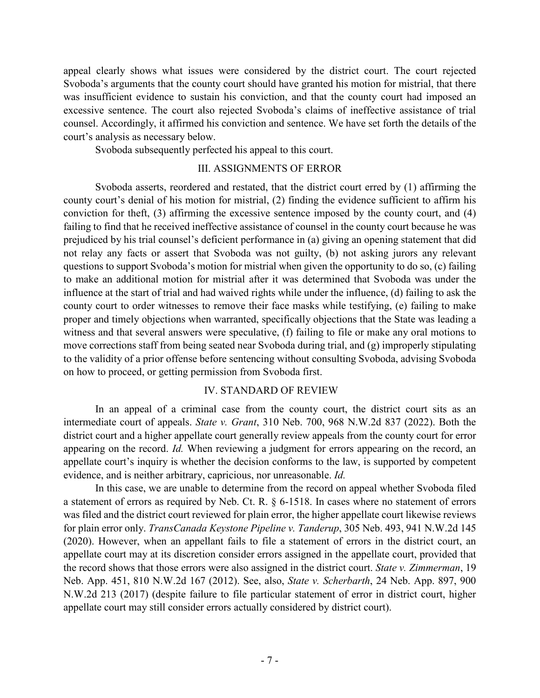appeal clearly shows what issues were considered by the district court. The court rejected Svoboda's arguments that the county court should have granted his motion for mistrial, that there was insufficient evidence to sustain his conviction, and that the county court had imposed an excessive sentence. The court also rejected Svoboda's claims of ineffective assistance of trial counsel. Accordingly, it affirmed his conviction and sentence. We have set forth the details of the court's analysis as necessary below.

Svoboda subsequently perfected his appeal to this court.

## III. ASSIGNMENTS OF ERROR

Svoboda asserts, reordered and restated, that the district court erred by (1) affirming the county court's denial of his motion for mistrial, (2) finding the evidence sufficient to affirm his conviction for theft, (3) affirming the excessive sentence imposed by the county court, and (4) failing to find that he received ineffective assistance of counsel in the county court because he was prejudiced by his trial counsel's deficient performance in (a) giving an opening statement that did not relay any facts or assert that Svoboda was not guilty, (b) not asking jurors any relevant questions to support Svoboda's motion for mistrial when given the opportunity to do so, (c) failing to make an additional motion for mistrial after it was determined that Svoboda was under the influence at the start of trial and had waived rights while under the influence, (d) failing to ask the county court to order witnesses to remove their face masks while testifying, (e) failing to make proper and timely objections when warranted, specifically objections that the State was leading a witness and that several answers were speculative, (f) failing to file or make any oral motions to move corrections staff from being seated near Svoboda during trial, and (g) improperly stipulating to the validity of a prior offense before sentencing without consulting Svoboda, advising Svoboda on how to proceed, or getting permission from Svoboda first.

## IV. STANDARD OF REVIEW

In an appeal of a criminal case from the county court, the district court sits as an intermediate court of appeals. *State v. Grant*, 310 Neb. 700, 968 N.W.2d 837 (2022). Both the district court and a higher appellate court generally review appeals from the county court for error appearing on the record. *Id.* When reviewing a judgment for errors appearing on the record, an appellate court's inquiry is whether the decision conforms to the law, is supported by competent evidence, and is neither arbitrary, capricious, nor unreasonable. *Id.*

In this case, we are unable to determine from the record on appeal whether Svoboda filed a statement of errors as required by Neb. Ct. R. § 6-1518. In cases where no statement of errors was filed and the district court reviewed for plain error, the higher appellate court likewise reviews for plain error only. *TransCanada Keystone Pipeline v. Tanderup*, 305 Neb. 493, 941 N.W.2d 145 (2020). However, when an appellant fails to file a statement of errors in the district court, an appellate court may at its discretion consider errors assigned in the appellate court, provided that the record shows that those errors were also assigned in the district court. *State v. Zimmerman*, 19 Neb. App. 451, 810 N.W.2d 167 (2012). See, also, *State v. Scherbarth*, 24 Neb. App. 897, 900 N.W.2d 213 (2017) (despite failure to file particular statement of error in district court, higher appellate court may still consider errors actually considered by district court).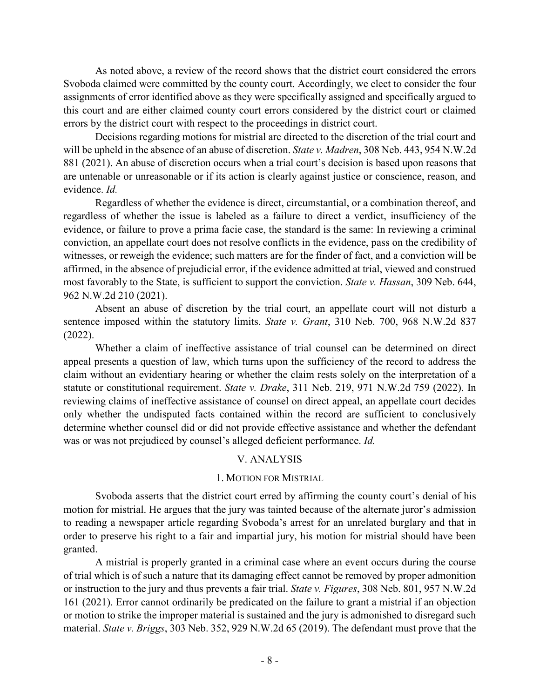As noted above, a review of the record shows that the district court considered the errors Svoboda claimed were committed by the county court. Accordingly, we elect to consider the four assignments of error identified above as they were specifically assigned and specifically argued to this court and are either claimed county court errors considered by the district court or claimed errors by the district court with respect to the proceedings in district court.

Decisions regarding motions for mistrial are directed to the discretion of the trial court and will be upheld in the absence of an abuse of discretion. *State v. Madren*, 308 Neb. 443, 954 N.W.2d 881 (2021). An abuse of discretion occurs when a trial court's decision is based upon reasons that are untenable or unreasonable or if its action is clearly against justice or conscience, reason, and evidence. *Id.*

Regardless of whether the evidence is direct, circumstantial, or a combination thereof, and regardless of whether the issue is labeled as a failure to direct a verdict, insufficiency of the evidence, or failure to prove a prima facie case, the standard is the same: In reviewing a criminal conviction, an appellate court does not resolve conflicts in the evidence, pass on the credibility of witnesses, or reweigh the evidence; such matters are for the finder of fact, and a conviction will be affirmed, in the absence of prejudicial error, if the evidence admitted at trial, viewed and construed most favorably to the State, is sufficient to support the conviction. *State v. Hassan*, 309 Neb. 644, 962 N.W.2d 210 (2021).

Absent an abuse of discretion by the trial court, an appellate court will not disturb a sentence imposed within the statutory limits. *State v. Grant*, 310 Neb. 700, 968 N.W.2d 837 (2022).

Whether a claim of ineffective assistance of trial counsel can be determined on direct appeal presents a question of law, which turns upon the sufficiency of the record to address the claim without an evidentiary hearing or whether the claim rests solely on the interpretation of a statute or constitutional requirement. *State v. Drake*, 311 Neb. 219, 971 N.W.2d 759 (2022). In reviewing claims of ineffective assistance of counsel on direct appeal, an appellate court decides only whether the undisputed facts contained within the record are sufficient to conclusively determine whether counsel did or did not provide effective assistance and whether the defendant was or was not prejudiced by counsel's alleged deficient performance. *Id.*

# V. ANALYSIS

## 1. MOTION FOR MISTRIAL

Svoboda asserts that the district court erred by affirming the county court's denial of his motion for mistrial. He argues that the jury was tainted because of the alternate juror's admission to reading a newspaper article regarding Svoboda's arrest for an unrelated burglary and that in order to preserve his right to a fair and impartial jury, his motion for mistrial should have been granted.

A mistrial is properly granted in a criminal case where an event occurs during the course of trial which is of such a nature that its damaging effect cannot be removed by proper admonition or instruction to the jury and thus prevents a fair trial. *State v. Figures*, 308 Neb. 801, 957 N.W.2d 161 (2021). Error cannot ordinarily be predicated on the failure to grant a mistrial if an objection or motion to strike the improper material is sustained and the jury is admonished to disregard such material. *State v. Briggs*, 303 Neb. 352, 929 N.W.2d 65 (2019). The defendant must prove that the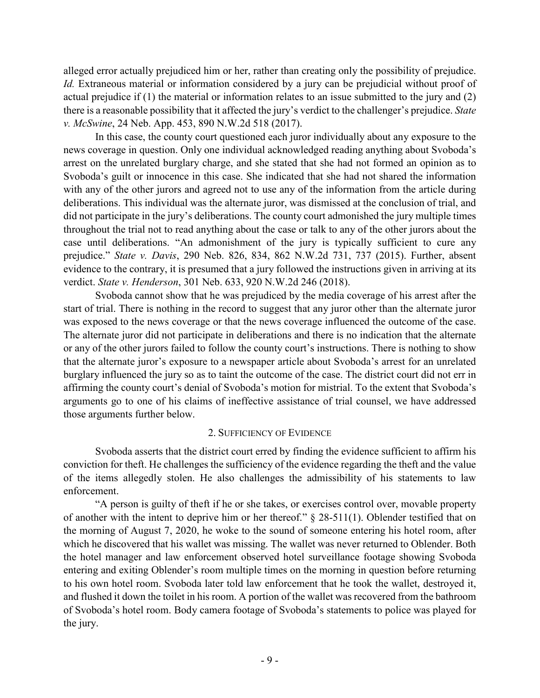alleged error actually prejudiced him or her, rather than creating only the possibility of prejudice. *Id.* Extraneous material or information considered by a jury can be prejudicial without proof of actual prejudice if (1) the material or information relates to an issue submitted to the jury and (2) there is a reasonable possibility that it affected the jury's verdict to the challenger's prejudice. *State v. McSwine*, 24 Neb. App. 453, 890 N.W.2d 518 (2017).

In this case, the county court questioned each juror individually about any exposure to the news coverage in question. Only one individual acknowledged reading anything about Svoboda's arrest on the unrelated burglary charge, and she stated that she had not formed an opinion as to Svoboda's guilt or innocence in this case. She indicated that she had not shared the information with any of the other jurors and agreed not to use any of the information from the article during deliberations. This individual was the alternate juror, was dismissed at the conclusion of trial, and did not participate in the jury's deliberations. The county court admonished the jury multiple times throughout the trial not to read anything about the case or talk to any of the other jurors about the case until deliberations. "An admonishment of the jury is typically sufficient to cure any prejudice." *State v. Davis*, 290 Neb. 826, 834, 862 N.W.2d 731, 737 (2015). Further, absent evidence to the contrary, it is presumed that a jury followed the instructions given in arriving at its verdict. *State v. Henderson*, 301 Neb. 633, 920 N.W.2d 246 (2018).

Svoboda cannot show that he was prejudiced by the media coverage of his arrest after the start of trial. There is nothing in the record to suggest that any juror other than the alternate juror was exposed to the news coverage or that the news coverage influenced the outcome of the case. The alternate juror did not participate in deliberations and there is no indication that the alternate or any of the other jurors failed to follow the county court's instructions. There is nothing to show that the alternate juror's exposure to a newspaper article about Svoboda's arrest for an unrelated burglary influenced the jury so as to taint the outcome of the case. The district court did not err in affirming the county court's denial of Svoboda's motion for mistrial. To the extent that Svoboda's arguments go to one of his claims of ineffective assistance of trial counsel, we have addressed those arguments further below.

## 2. SUFFICIENCY OF EVIDENCE

Svoboda asserts that the district court erred by finding the evidence sufficient to affirm his conviction for theft. He challenges the sufficiency of the evidence regarding the theft and the value of the items allegedly stolen. He also challenges the admissibility of his statements to law enforcement.

"A person is guilty of theft if he or she takes, or exercises control over, movable property of another with the intent to deprive him or her thereof."  $\S$  28-511(1). Oblender testified that on the morning of August 7, 2020, he woke to the sound of someone entering his hotel room, after which he discovered that his wallet was missing. The wallet was never returned to Oblender. Both the hotel manager and law enforcement observed hotel surveillance footage showing Svoboda entering and exiting Oblender's room multiple times on the morning in question before returning to his own hotel room. Svoboda later told law enforcement that he took the wallet, destroyed it, and flushed it down the toilet in his room. A portion of the wallet was recovered from the bathroom of Svoboda's hotel room. Body camera footage of Svoboda's statements to police was played for the jury.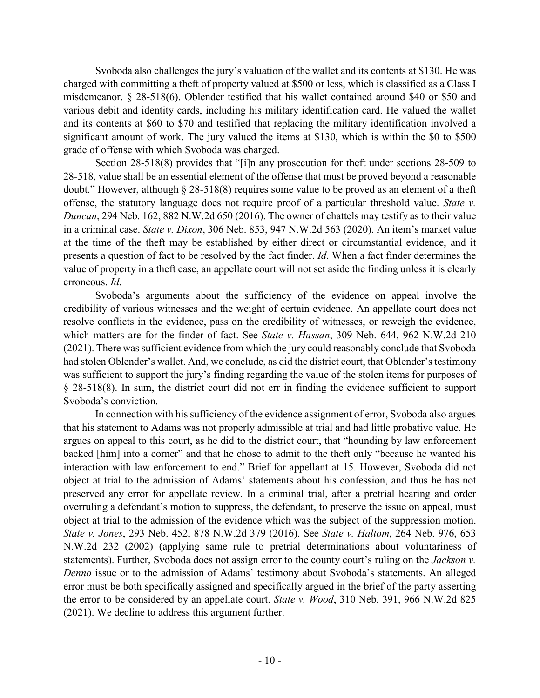Svoboda also challenges the jury's valuation of the wallet and its contents at \$130. He was charged with committing a theft of property valued at \$500 or less, which is classified as a Class I misdemeanor. § 28-518(6). Oblender testified that his wallet contained around \$40 or \$50 and various debit and identity cards, including his military identification card. He valued the wallet and its contents at \$60 to \$70 and testified that replacing the military identification involved a significant amount of work. The jury valued the items at \$130, which is within the \$0 to \$500 grade of offense with which Svoboda was charged.

Section 28-518(8) provides that "[i]n any prosecution for theft under sections 28-509 to 28-518, value shall be an essential element of the offense that must be proved beyond a reasonable doubt." However, although § 28-518(8) requires some value to be proved as an element of a theft offense, the statutory language does not require proof of a particular threshold value. *State v. Duncan*, 294 Neb. 162, 882 N.W.2d 650 (2016). The owner of chattels may testify as to their value in a criminal case. *State v. Dixon*, 306 Neb. 853, 947 N.W.2d 563 (2020). An item's market value at the time of the theft may be established by either direct or circumstantial evidence, and it presents a question of fact to be resolved by the fact finder. *Id*. When a fact finder determines the value of property in a theft case, an appellate court will not set aside the finding unless it is clearly erroneous. *Id*.

Svoboda's arguments about the sufficiency of the evidence on appeal involve the credibility of various witnesses and the weight of certain evidence. An appellate court does not resolve conflicts in the evidence, pass on the credibility of witnesses, or reweigh the evidence, which matters are for the finder of fact. See *State v. Hassan*, 309 Neb. 644, 962 N.W.2d 210 (2021). There was sufficient evidence from which the jury could reasonably conclude that Svoboda had stolen Oblender's wallet. And, we conclude, as did the district court, that Oblender's testimony was sufficient to support the jury's finding regarding the value of the stolen items for purposes of § 28-518(8). In sum, the district court did not err in finding the evidence sufficient to support Svoboda's conviction.

In connection with his sufficiency of the evidence assignment of error, Svoboda also argues that his statement to Adams was not properly admissible at trial and had little probative value. He argues on appeal to this court, as he did to the district court, that "hounding by law enforcement backed [him] into a corner" and that he chose to admit to the theft only "because he wanted his interaction with law enforcement to end." Brief for appellant at 15. However, Svoboda did not object at trial to the admission of Adams' statements about his confession, and thus he has not preserved any error for appellate review. In a criminal trial, after a pretrial hearing and order overruling a defendant's motion to suppress, the defendant, to preserve the issue on appeal, must object at trial to the admission of the evidence which was the subject of the suppression motion. *State v. Jones*, 293 Neb. 452, 878 N.W.2d 379 (2016). See *State v. Haltom*, 264 Neb. 976, 653 N.W.2d 232 (2002) (applying same rule to pretrial determinations about voluntariness of statements). Further, Svoboda does not assign error to the county court's ruling on the *Jackson v. Denno* issue or to the admission of Adams' testimony about Svoboda's statements. An alleged error must be both specifically assigned and specifically argued in the brief of the party asserting the error to be considered by an appellate court. *State v. Wood*, 310 Neb. 391, 966 N.W.2d 825 (2021). We decline to address this argument further.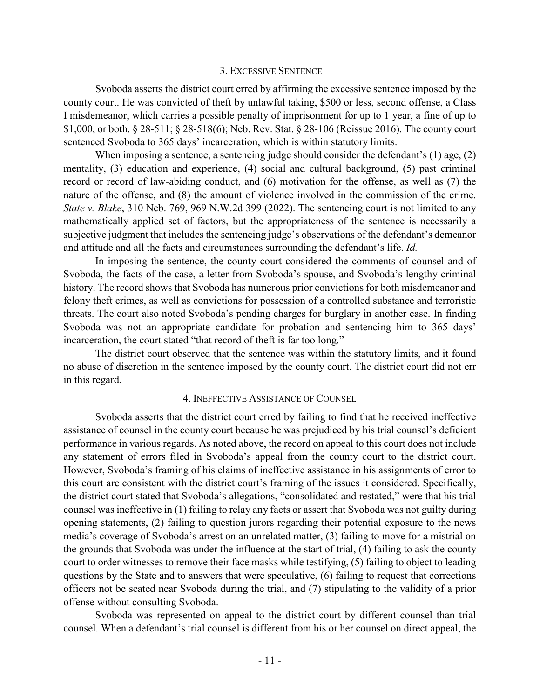#### 3. EXCESSIVE SENTENCE

Svoboda asserts the district court erred by affirming the excessive sentence imposed by the county court. He was convicted of theft by unlawful taking, \$500 or less, second offense, a Class I misdemeanor, which carries a possible penalty of imprisonment for up to 1 year, a fine of up to \$1,000, or both. § 28-511; § 28-518(6); Neb. Rev. Stat. § 28-106 (Reissue 2016). The county court sentenced Svoboda to 365 days' incarceration, which is within statutory limits.

When imposing a sentence, a sentencing judge should consider the defendant's (1) age, (2) mentality, (3) education and experience, (4) social and cultural background, (5) past criminal record or record of law-abiding conduct, and (6) motivation for the offense, as well as (7) the nature of the offense, and (8) the amount of violence involved in the commission of the crime. *State v. Blake*, 310 Neb. 769, 969 N.W.2d 399 (2022). The sentencing court is not limited to any mathematically applied set of factors, but the appropriateness of the sentence is necessarily a subjective judgment that includes the sentencing judge's observations of the defendant's demeanor and attitude and all the facts and circumstances surrounding the defendant's life. *Id.*

In imposing the sentence, the county court considered the comments of counsel and of Svoboda, the facts of the case, a letter from Svoboda's spouse, and Svoboda's lengthy criminal history. The record shows that Svoboda has numerous prior convictions for both misdemeanor and felony theft crimes, as well as convictions for possession of a controlled substance and terroristic threats. The court also noted Svoboda's pending charges for burglary in another case. In finding Svoboda was not an appropriate candidate for probation and sentencing him to 365 days' incarceration, the court stated "that record of theft is far too long."

The district court observed that the sentence was within the statutory limits, and it found no abuse of discretion in the sentence imposed by the county court. The district court did not err in this regard.

#### 4. INEFFECTIVE ASSISTANCE OF COUNSEL

Svoboda asserts that the district court erred by failing to find that he received ineffective assistance of counsel in the county court because he was prejudiced by his trial counsel's deficient performance in various regards. As noted above, the record on appeal to this court does not include any statement of errors filed in Svoboda's appeal from the county court to the district court. However, Svoboda's framing of his claims of ineffective assistance in his assignments of error to this court are consistent with the district court's framing of the issues it considered. Specifically, the district court stated that Svoboda's allegations, "consolidated and restated," were that his trial counsel was ineffective in (1) failing to relay any facts or assert that Svoboda was not guilty during opening statements, (2) failing to question jurors regarding their potential exposure to the news media's coverage of Svoboda's arrest on an unrelated matter, (3) failing to move for a mistrial on the grounds that Svoboda was under the influence at the start of trial, (4) failing to ask the county court to order witnesses to remove their face masks while testifying, (5) failing to object to leading questions by the State and to answers that were speculative, (6) failing to request that corrections officers not be seated near Svoboda during the trial, and (7) stipulating to the validity of a prior offense without consulting Svoboda.

Svoboda was represented on appeal to the district court by different counsel than trial counsel. When a defendant's trial counsel is different from his or her counsel on direct appeal, the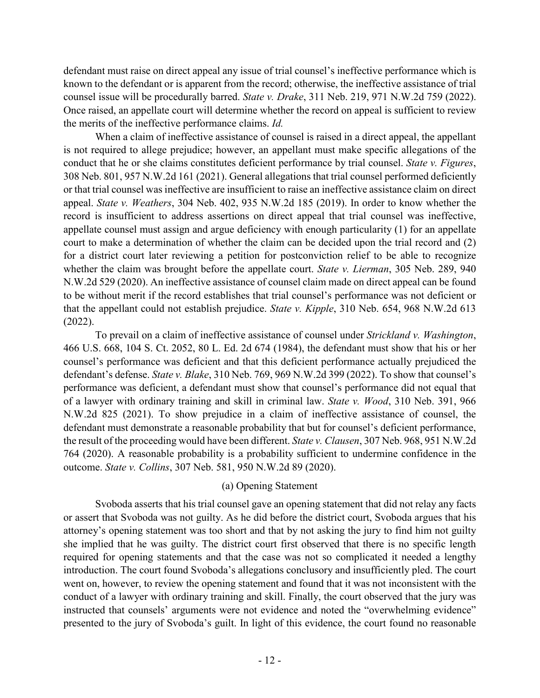defendant must raise on direct appeal any issue of trial counsel's ineffective performance which is known to the defendant or is apparent from the record; otherwise, the ineffective assistance of trial counsel issue will be procedurally barred. *State v. Drake*, 311 Neb. 219, 971 N.W.2d 759 (2022). Once raised, an appellate court will determine whether the record on appeal is sufficient to review the merits of the ineffective performance claims. *Id.*

When a claim of ineffective assistance of counsel is raised in a direct appeal, the appellant is not required to allege prejudice; however, an appellant must make specific allegations of the conduct that he or she claims constitutes deficient performance by trial counsel. *State v. Figures*, 308 Neb. 801, 957 N.W.2d 161 (2021). General allegations that trial counsel performed deficiently or that trial counsel was ineffective are insufficient to raise an ineffective assistance claim on direct appeal. *State v. Weathers*, 304 Neb. 402, 935 N.W.2d 185 (2019). In order to know whether the record is insufficient to address assertions on direct appeal that trial counsel was ineffective, appellate counsel must assign and argue deficiency with enough particularity (1) for an appellate court to make a determination of whether the claim can be decided upon the trial record and (2) for a district court later reviewing a petition for postconviction relief to be able to recognize whether the claim was brought before the appellate court. *State v. Lierman*, 305 Neb. 289, 940 N.W.2d 529 (2020). An ineffective assistance of counsel claim made on direct appeal can be found to be without merit if the record establishes that trial counsel's performance was not deficient or that the appellant could not establish prejudice. *State v. Kipple*, 310 Neb. 654, 968 N.W.2d 613 (2022).

To prevail on a claim of ineffective assistance of counsel under *Strickland v. Washington*, 466 U.S. 668, 104 S. Ct. 2052, 80 L. Ed. 2d 674 (1984), the defendant must show that his or her counsel's performance was deficient and that this deficient performance actually prejudiced the defendant's defense. *State v. Blake*, 310 Neb. 769, 969 N.W.2d 399 (2022). To show that counsel's performance was deficient, a defendant must show that counsel's performance did not equal that of a lawyer with ordinary training and skill in criminal law. *State v. Wood*, 310 Neb. 391, 966 N.W.2d 825 (2021). To show prejudice in a claim of ineffective assistance of counsel, the defendant must demonstrate a reasonable probability that but for counsel's deficient performance, the result of the proceeding would have been different. *State v. Clausen*, 307 Neb. 968, 951 N.W.2d 764 (2020). A reasonable probability is a probability sufficient to undermine confidence in the outcome. *State v. Collins*, 307 Neb. 581, 950 N.W.2d 89 (2020).

## (a) Opening Statement

Svoboda asserts that his trial counsel gave an opening statement that did not relay any facts or assert that Svoboda was not guilty. As he did before the district court, Svoboda argues that his attorney's opening statement was too short and that by not asking the jury to find him not guilty she implied that he was guilty. The district court first observed that there is no specific length required for opening statements and that the case was not so complicated it needed a lengthy introduction. The court found Svoboda's allegations conclusory and insufficiently pled. The court went on, however, to review the opening statement and found that it was not inconsistent with the conduct of a lawyer with ordinary training and skill. Finally, the court observed that the jury was instructed that counsels' arguments were not evidence and noted the "overwhelming evidence" presented to the jury of Svoboda's guilt. In light of this evidence, the court found no reasonable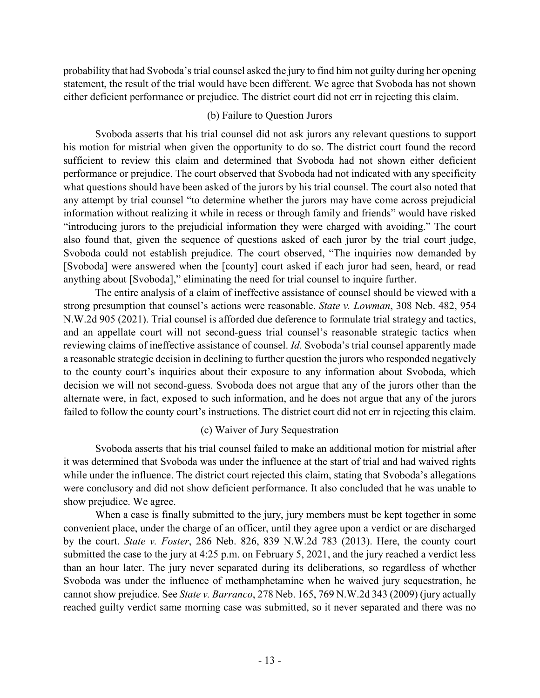probability that had Svoboda's trial counsel asked the jury to find him not guilty during her opening statement, the result of the trial would have been different. We agree that Svoboda has not shown either deficient performance or prejudice. The district court did not err in rejecting this claim.

## (b) Failure to Question Jurors

Svoboda asserts that his trial counsel did not ask jurors any relevant questions to support his motion for mistrial when given the opportunity to do so. The district court found the record sufficient to review this claim and determined that Svoboda had not shown either deficient performance or prejudice. The court observed that Svoboda had not indicated with any specificity what questions should have been asked of the jurors by his trial counsel. The court also noted that any attempt by trial counsel "to determine whether the jurors may have come across prejudicial information without realizing it while in recess or through family and friends" would have risked "introducing jurors to the prejudicial information they were charged with avoiding." The court also found that, given the sequence of questions asked of each juror by the trial court judge, Svoboda could not establish prejudice. The court observed, "The inquiries now demanded by [Svoboda] were answered when the [county] court asked if each juror had seen, heard, or read anything about [Svoboda]," eliminating the need for trial counsel to inquire further.

The entire analysis of a claim of ineffective assistance of counsel should be viewed with a strong presumption that counsel's actions were reasonable. *State v. Lowman*, 308 Neb. 482, 954 N.W.2d 905 (2021). Trial counsel is afforded due deference to formulate trial strategy and tactics, and an appellate court will not second-guess trial counsel's reasonable strategic tactics when reviewing claims of ineffective assistance of counsel. *Id.* Svoboda's trial counsel apparently made a reasonable strategic decision in declining to further question the jurors who responded negatively to the county court's inquiries about their exposure to any information about Svoboda, which decision we will not second-guess. Svoboda does not argue that any of the jurors other than the alternate were, in fact, exposed to such information, and he does not argue that any of the jurors failed to follow the county court's instructions. The district court did not err in rejecting this claim.

# (c) Waiver of Jury Sequestration

Svoboda asserts that his trial counsel failed to make an additional motion for mistrial after it was determined that Svoboda was under the influence at the start of trial and had waived rights while under the influence. The district court rejected this claim, stating that Svoboda's allegations were conclusory and did not show deficient performance. It also concluded that he was unable to show prejudice. We agree.

When a case is finally submitted to the jury, jury members must be kept together in some convenient place, under the charge of an officer, until they agree upon a verdict or are discharged by the court. *State v. Foster*, 286 Neb. 826, 839 N.W.2d 783 (2013). Here, the county court submitted the case to the jury at 4:25 p.m. on February 5, 2021, and the jury reached a verdict less than an hour later. The jury never separated during its deliberations, so regardless of whether Svoboda was under the influence of methamphetamine when he waived jury sequestration, he cannot show prejudice. See *State v. Barranco*, 278 Neb. 165, 769 N.W.2d 343 (2009) (jury actually reached guilty verdict same morning case was submitted, so it never separated and there was no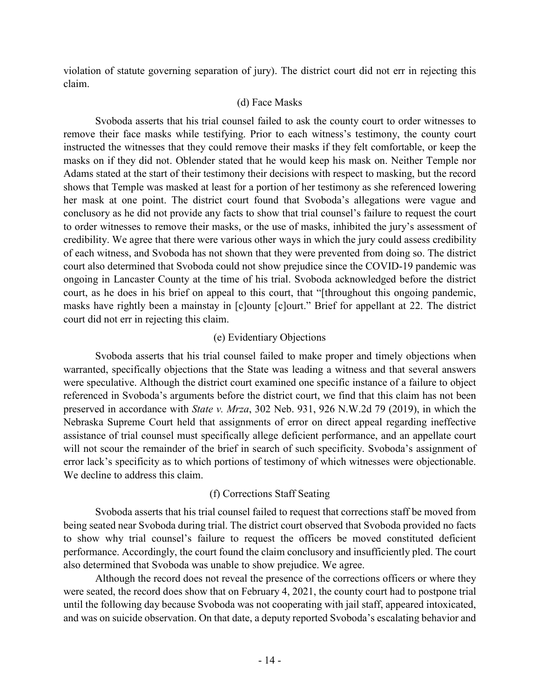violation of statute governing separation of jury). The district court did not err in rejecting this claim.

## (d) Face Masks

Svoboda asserts that his trial counsel failed to ask the county court to order witnesses to remove their face masks while testifying. Prior to each witness's testimony, the county court instructed the witnesses that they could remove their masks if they felt comfortable, or keep the masks on if they did not. Oblender stated that he would keep his mask on. Neither Temple nor Adams stated at the start of their testimony their decisions with respect to masking, but the record shows that Temple was masked at least for a portion of her testimony as she referenced lowering her mask at one point. The district court found that Svoboda's allegations were vague and conclusory as he did not provide any facts to show that trial counsel's failure to request the court to order witnesses to remove their masks, or the use of masks, inhibited the jury's assessment of credibility. We agree that there were various other ways in which the jury could assess credibility of each witness, and Svoboda has not shown that they were prevented from doing so. The district court also determined that Svoboda could not show prejudice since the COVID-19 pandemic was ongoing in Lancaster County at the time of his trial. Svoboda acknowledged before the district court, as he does in his brief on appeal to this court, that "[throughout this ongoing pandemic, masks have rightly been a mainstay in [c]ounty [c]ourt." Brief for appellant at 22. The district court did not err in rejecting this claim.

# (e) Evidentiary Objections

Svoboda asserts that his trial counsel failed to make proper and timely objections when warranted, specifically objections that the State was leading a witness and that several answers were speculative. Although the district court examined one specific instance of a failure to object referenced in Svoboda's arguments before the district court, we find that this claim has not been preserved in accordance with *State v. Mrza*, 302 Neb. 931, 926 N.W.2d 79 (2019), in which the Nebraska Supreme Court held that assignments of error on direct appeal regarding ineffective assistance of trial counsel must specifically allege deficient performance, and an appellate court will not scour the remainder of the brief in search of such specificity. Svoboda's assignment of error lack's specificity as to which portions of testimony of which witnesses were objectionable. We decline to address this claim.

# (f) Corrections Staff Seating

Svoboda asserts that his trial counsel failed to request that corrections staff be moved from being seated near Svoboda during trial. The district court observed that Svoboda provided no facts to show why trial counsel's failure to request the officers be moved constituted deficient performance. Accordingly, the court found the claim conclusory and insufficiently pled. The court also determined that Svoboda was unable to show prejudice. We agree.

Although the record does not reveal the presence of the corrections officers or where they were seated, the record does show that on February 4, 2021, the county court had to postpone trial until the following day because Svoboda was not cooperating with jail staff, appeared intoxicated, and was on suicide observation. On that date, a deputy reported Svoboda's escalating behavior and